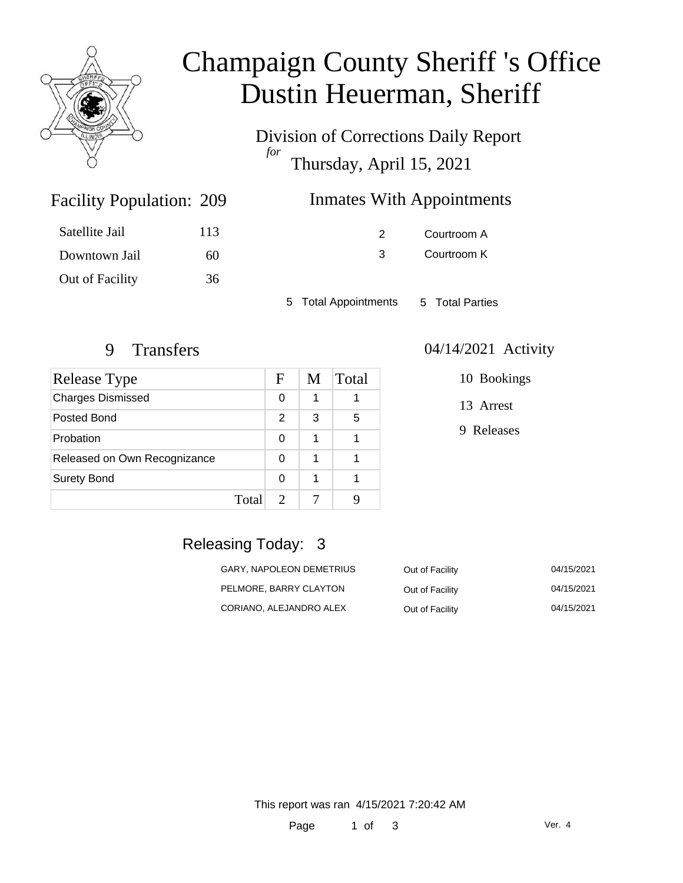

# Champaign County Sheriff 's Office Dustin Heuerman, Sheriff

Division of Corrections Daily Report *for* Thursday, April 15, 2021

### Inmates With Appointments

| Satellite Jail  | 113 |
|-----------------|-----|
| Downtown Jail   | 60  |
| Out of Facility | 36  |

Facility Population: 209

2 Courtroom A 3 Courtroom K

5 Total Appointments 5 Total Parties

| Release Type                 |       | F | M | Total |
|------------------------------|-------|---|---|-------|
| <b>Charges Dismissed</b>     |       | 0 | 1 |       |
| Posted Bond                  |       | 2 | 3 | 5     |
| Probation                    |       | O | 1 |       |
| Released on Own Recognizance |       | ∩ | 1 |       |
| <b>Surety Bond</b>           |       | ∩ | 1 |       |
|                              | Total |   |   |       |

#### 9 Transfers 04/14/2021 Activity

10 Bookings

13 Arrest

9 Releases

# Releasing Today: 3

| GARY, NAPOLEON DEMETRIUS | Out of Facility | 04/15/2021 |
|--------------------------|-----------------|------------|
| PELMORE, BARRY CLAYTON   | Out of Facility | 04/15/2021 |
| CORIANO, ALEJANDRO ALEX  | Out of Facility | 04/15/2021 |

This report was ran 4/15/2021 7:20:42 AM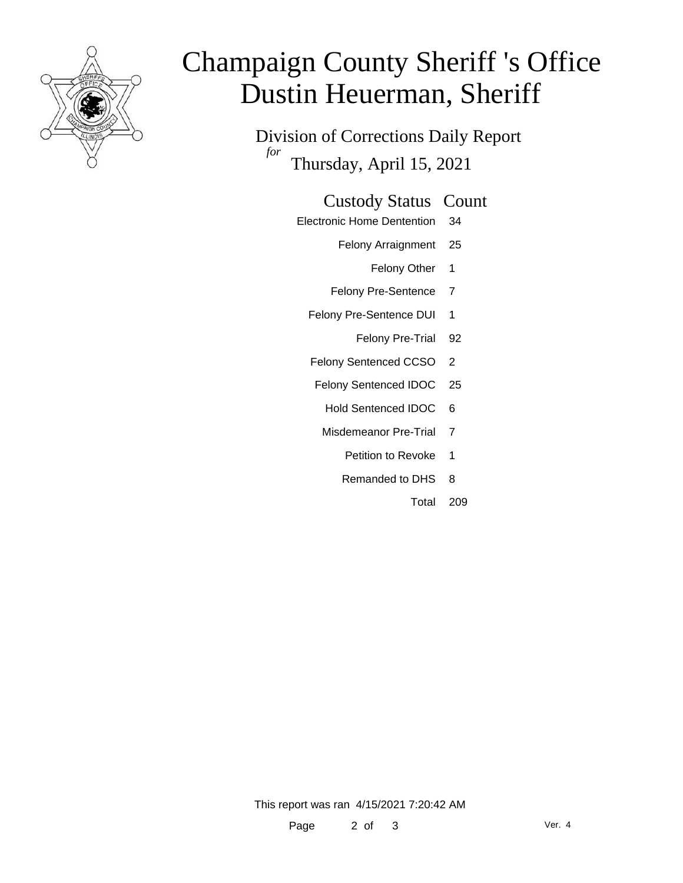

# Champaign County Sheriff 's Office Dustin Heuerman, Sheriff

Division of Corrections Daily Report *for* Thursday, April 15, 2021

#### Custody Status Count

- Electronic Home Dentention 34
	- Felony Arraignment 25
		- Felony Other 1
	- Felony Pre-Sentence 7
	- Felony Pre-Sentence DUI 1
		- Felony Pre-Trial 92
	- Felony Sentenced CCSO 2
	- Felony Sentenced IDOC 25
		- Hold Sentenced IDOC 6
		- Misdemeanor Pre-Trial 7
			- Petition to Revoke 1
			- Remanded to DHS 8
				- Total 209

This report was ran 4/15/2021 7:20:42 AM